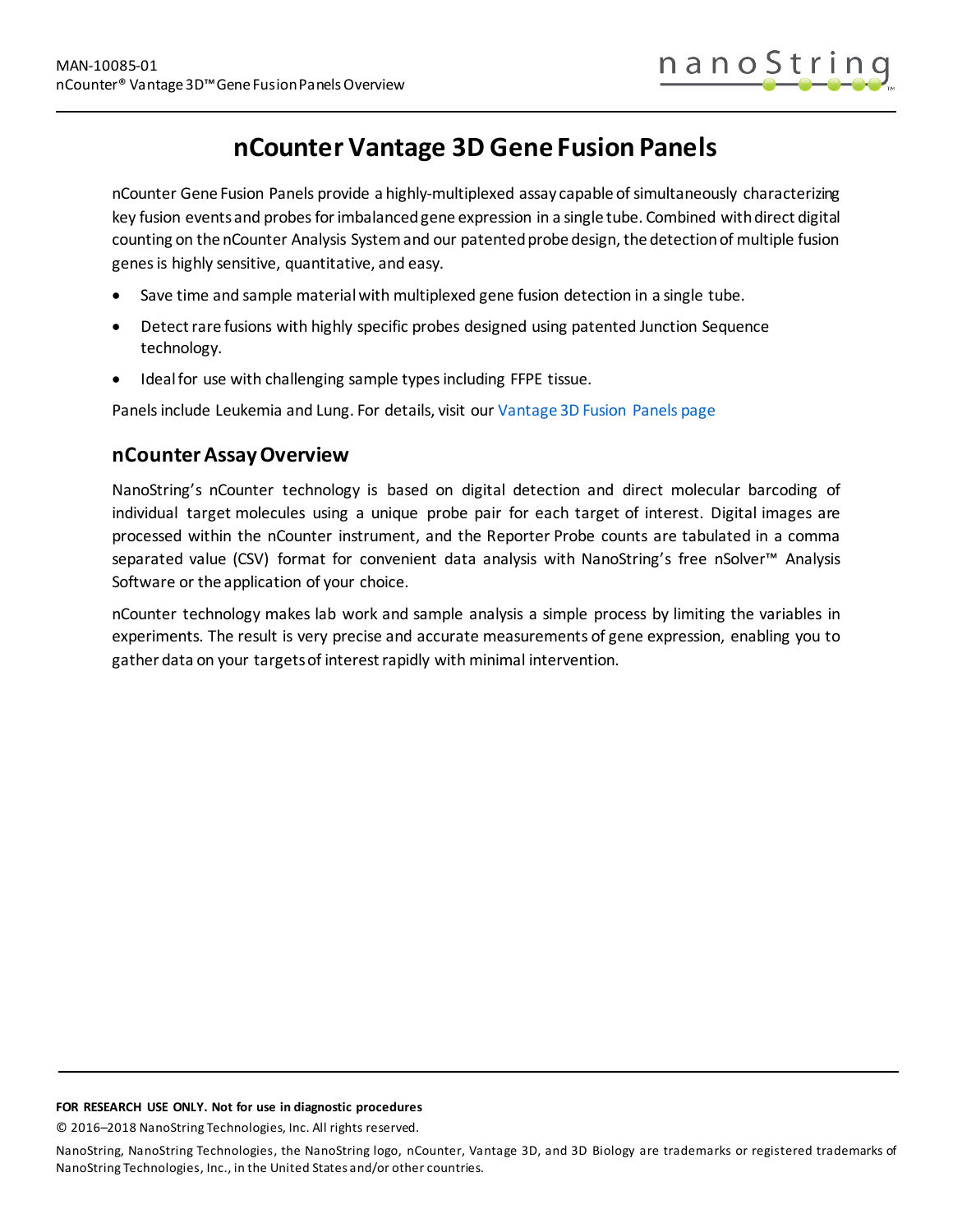

# **nCounter Vantage 3D Gene Fusion Panels**

nCounter Gene Fusion Panels provide a highly-multiplexed assay capable of simultaneously characterizing key fusion events and probes for imbalanced gene expression in a single tube. Combined with direct digital counting on the nCounter Analysis System and our patented probe design, the detection of multiple fusion genes is highly sensitive, quantitative, and easy.

- Save time and sample material with multiplexed gene fusion detection in a single tube.
- Detect rare fusions with highly specific probes designed using patented Junction Sequence technology.
- Ideal for use with challenging sample types including FFPE tissue.

Panels include Leukemia and Lung. For details, visit our [Vantage 3D Fusion Panels page](https://www.nanostring.com/products/gene-expression-panels/ncounter-gene-fusion-panels)

### **nCounter Assay Overview**

NanoString's nCounter technology is based on digital detection and direct molecular barcoding of individual target molecules using a unique probe pair for each target of interest. Digital images are processed within the nCounter instrument, and the Reporter Probe counts are tabulated in a comma separated value (CSV) format for convenient data analysis with NanoString's free nSolver™ Analysis Software or the application of your choice.

nCounter technology makes lab work and sample analysis a simple process by limiting the variables in experiments. The result is very precise and accurate measurements of gene expression, enabling you to gather data on your targets of interest rapidly with minimal intervention.

#### **FOR RESEARCH USE ONLY. Not for use in diagnostic procedures**

© 2016–2018 NanoString Technologies, Inc. All rights reserved.

NanoString, NanoString Technologies, the NanoString logo, nCounter, Vantage 3D, and 3D Biology are trademarks or registered trademarks of NanoString Technologies, Inc., in the United States and/or other countries.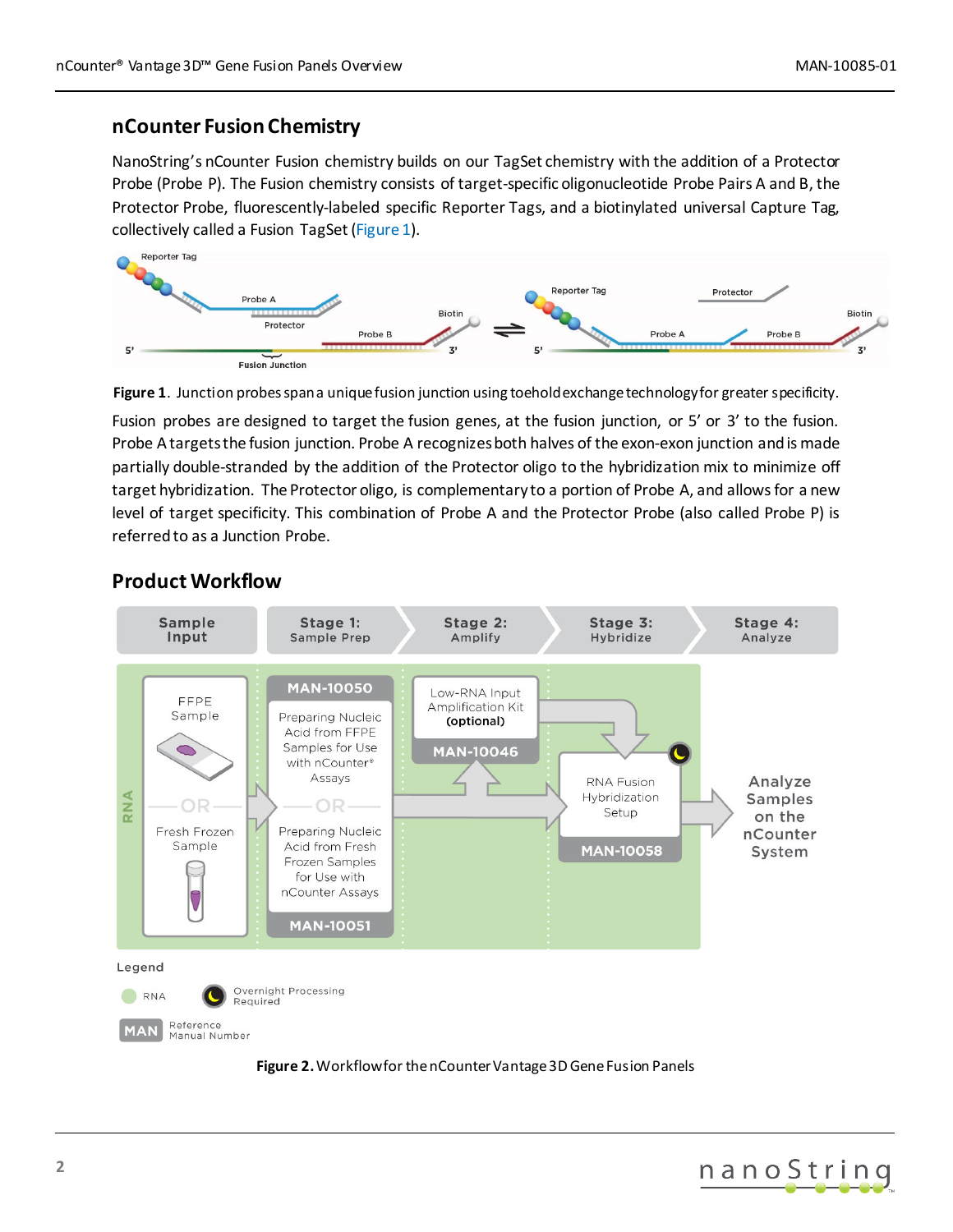### **nCounter Fusion Chemistry**

NanoString's nCounter Fusion chemistry builds on our TagSet chemistry with the addition of a Protector Probe (Probe P). The Fusion chemistry consists of target-specific oligonucleotide Probe Pairs A and B, the Protector Probe, fluorescently-labeled specific Reporter Tags, and a biotinylated universal Capture Tag, collectively called a Fusion TagSet [\(Figure 1\)](#page-1-0).



<span id="page-1-0"></span>

Fusion probes are designed to target the fusion genes, at the fusion junction, or 5' or 3' to the fusion. Probe A targets the fusion junction. Probe A recognizes both halves of the exon-exon junction and is made partially double-stranded by the addition of the Protector oligo to the hybridization mix to minimize off target hybridization. The Protector oligo, is complementary to a portion of Probe A, and allows for a new level of target specificity. This combination of Probe A and the Protector Probe (also called Probe P) is referred to as a Junction Probe.



### **Product Workflow**



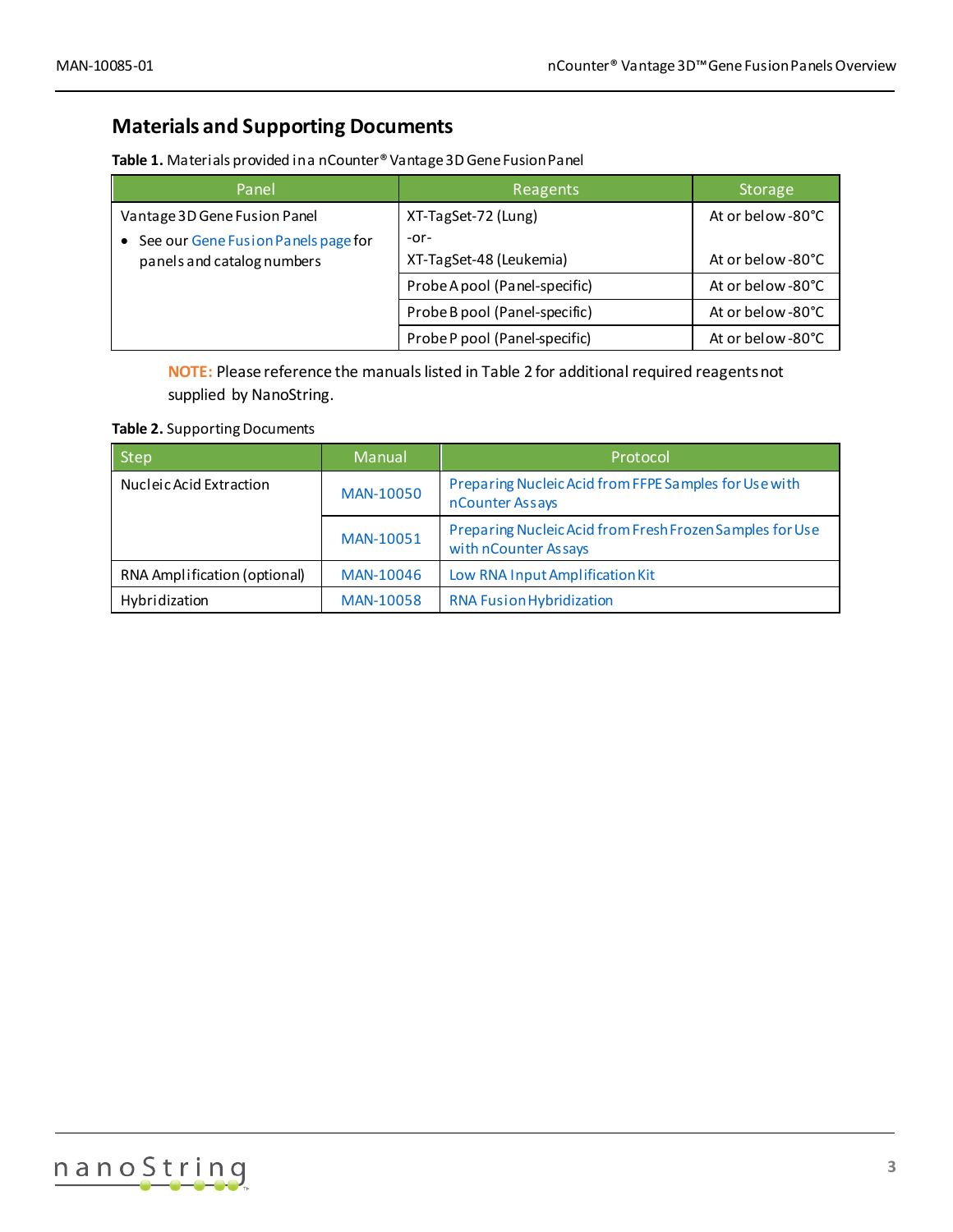## **Materials and Supporting Documents**

| Table 1. Materials provided in a nCounter® Vantage 3D Gene Fusion Panel |
|-------------------------------------------------------------------------|
|-------------------------------------------------------------------------|

| Panel                                                               | Reagents                      | <b>Storage</b>    |
|---------------------------------------------------------------------|-------------------------------|-------------------|
| Vantage 3D Gene Fusion Panel                                        | XT-TagSet-72 (Lung)<br>$-0r-$ | At or below -80°C |
| • See our Gene Fusion Panels page for<br>panels and catalog numbers | XT-TagSet-48 (Leukemia)       | At or below -80°C |
|                                                                     | Probe A pool (Panel-specific) | At or below -80°C |
|                                                                     | Probe B pool (Panel-specific) | At or below -80°C |
|                                                                     | Probe P pool (Panel-specific) | At or below -80°C |

**NOTE:** Please reference the manuals listed in Table 2 for additional required reagents not supplied by NanoString.

#### **Table 2.** Supporting Documents

| <b>Step</b>                  | Manual           | Protocol                                                                         |
|------------------------------|------------------|----------------------------------------------------------------------------------|
| Nucleic Acid Extraction      | MAN-10050        | Preparing Nucleic Acid from FFPE Samples for Use with<br>nCounter Assays         |
|                              | MAN-10051        | Preparing Nucleic Acid from Fresh Frozen Samples for Use<br>with nCounter Assays |
| RNA Amplification (optional) | MAN-10046        | Low RNA Input Amplification Kit                                                  |
| Hybridization                | <b>MAN-10058</b> | <b>RNA Fusion Hybridization</b>                                                  |